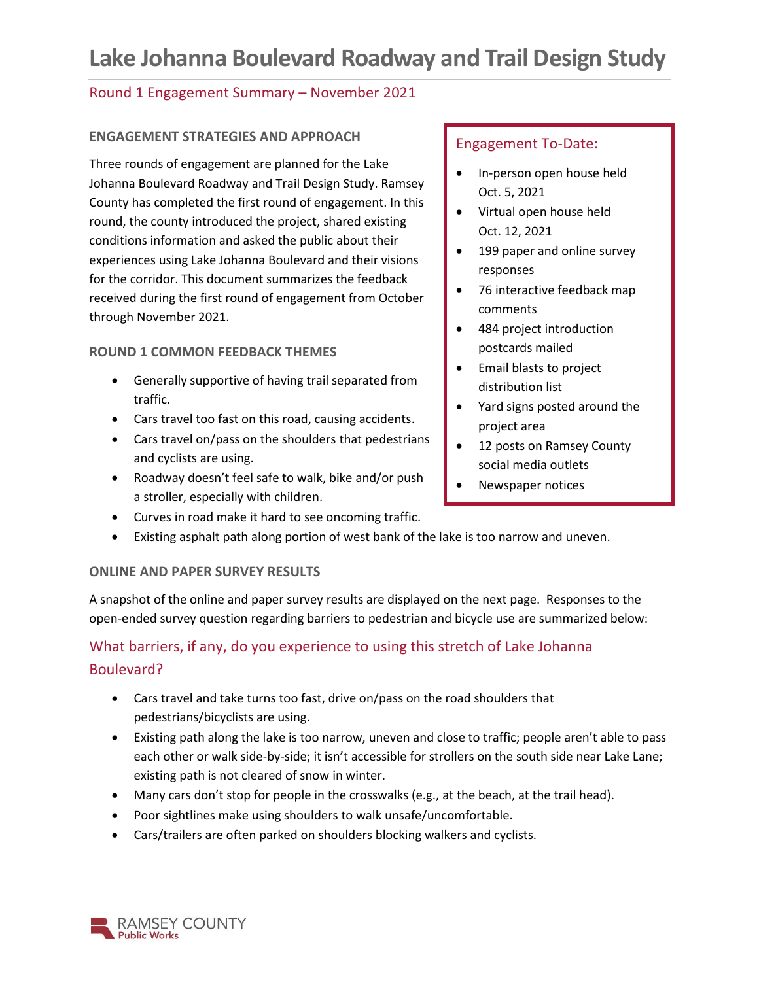# **Lake Johanna Boulevard Roadway and Trail Design Study**

#### Round 1 Engagement Summary – November 2021

#### **ENGAGEMENT STRATEGIES AND APPROACH**

Three rounds of engagement are planned for the Lake Johanna Boulevard Roadway and Trail Design Study. Ramsey County has completed the first round of engagement. In this round, the county introduced the project, shared existing conditions information and asked the public about their experiences using Lake Johanna Boulevard and their visions for the corridor. This document summarizes the feedback received during the first round of engagement from October through November 2021.

#### **ROUND 1 COMMON FEEDBACK THEMES**

- Generally supportive of having trail separated from traffic.
- Cars travel too fast on this road, causing accidents.
- Cars travel on/pass on the shoulders that pedestrians and cyclists are using.
- Roadway doesn't feel safe to walk, bike and/or push a stroller, especially with children.
- Curves in road make it hard to see oncoming traffic.
- Existing asphalt path along portion of west bank of the lake is too narrow and uneven.

#### **ONLINE AND PAPER SURVEY RESULTS**

A snapshot of the online and paper survey results are displayed on the next page. Responses to the open-ended survey question regarding barriers to pedestrian and bicycle use are summarized below:

## What barriers, if any, do you experience to using this stretch of Lake Johanna Boulevard?

- Cars travel and take turns too fast, drive on/pass on the road shoulders that pedestrians/bicyclists are using.
- Existing path along the lake is too narrow, uneven and close to traffic; people aren't able to pass each other or walk side-by-side; it isn't accessible for strollers on the south side near Lake Lane; existing path is not cleared of snow in winter.
- Many cars don't stop for people in the crosswalks (e.g., at the beach, at the trail head).
- Poor sightlines make using shoulders to walk unsafe/uncomfortable.
- Cars/trailers are often parked on shoulders blocking walkers and cyclists.

#### Engagement To-Date:

- In-person open house held Oct. 5, 2021
- Virtual open house held Oct. 12, 2021
- 199 paper and online survey responses
- 76 interactive feedback map comments
- 484 project introduction postcards mailed
- Email blasts to project distribution list
- Yard signs posted around the project area
- 12 posts on Ramsey County social media outlets
- Newspaper notices

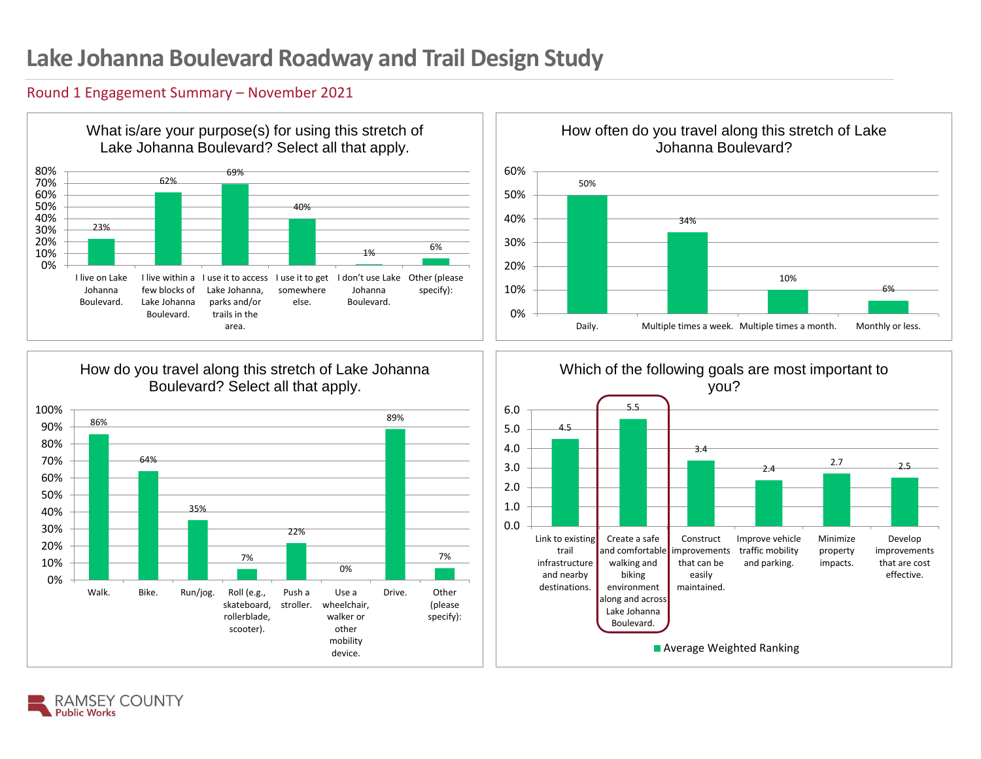# **Lake Johanna Boulevard Roadway and Trail Design Study**

#### Round 1 Engagement Summary – November 2021









#### 4.5 5.5 3.4 2.4 2.7 2.5 Link to existing trail infrastructure and nearby destinations. Create a safe and comfortable walking and biking environment along and across Lake Johanna Boulevard. Construct mprovements that can be easily maintained. Improve vehicle traffic mobility and parking. Minimize property impacts. Develop improvements that are cost effective. 0.0 1.0 2.0 3.0 4.0 5.0 6.0 Which of the following goals are most important to you? **Average Weighted Ranking**